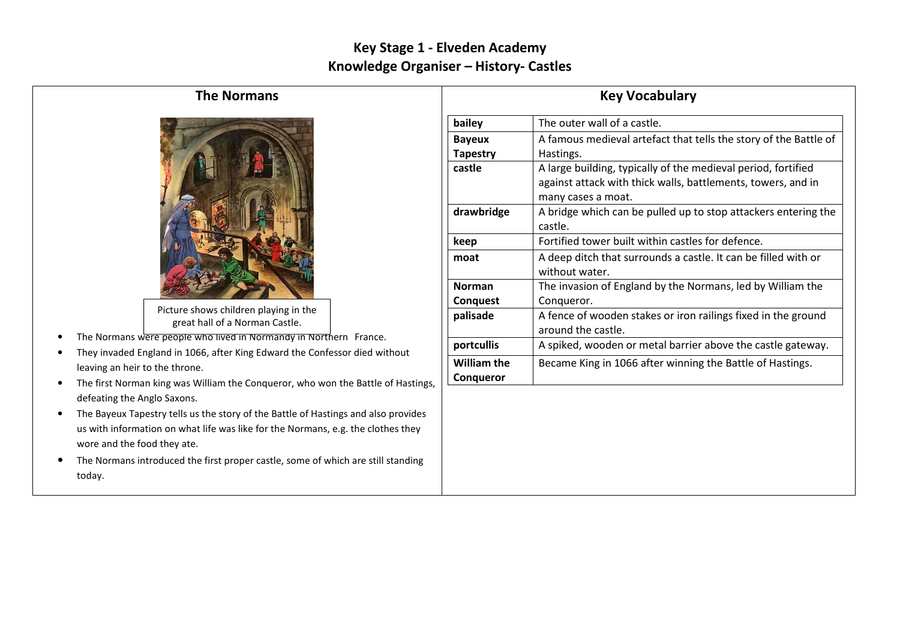## Key Stage 1 - Elveden Academy Knowledge Organiser – History- Castles

## The Normans



Picture shows children playing in the great hall of a Norman Castle.

- •The Normans were people who lived in Normandy in Northern France.
- • They invaded England in 1066, after King Edward the Confessor died without leaving an heir to the throne.
- • The first Norman king was William the Conqueror, who won the Battle of Hastings, defeating the Anglo Saxons.
- The Bayeux Tapestry tells us the story of the Battle of Hastings and also provides us with information on what life was like for the Normans, e.g. the clothes they wore and the food they ate.
- • The Normans introduced the first proper castle, some of which are still standing today.

| <b>Key Vocabulary</b>                  |                                                                                                                                                     |  |  |  |
|----------------------------------------|-----------------------------------------------------------------------------------------------------------------------------------------------------|--|--|--|
| bailey                                 | The outer wall of a castle.                                                                                                                         |  |  |  |
| <b>Bayeux</b><br><b>Tapestry</b>       | A famous medieval artefact that tells the story of the Battle of<br>Hastings.                                                                       |  |  |  |
| castle                                 | A large building, typically of the medieval period, fortified<br>against attack with thick walls, battlements, towers, and in<br>many cases a moat. |  |  |  |
| drawbridge                             | A bridge which can be pulled up to stop attackers entering the<br>castle.                                                                           |  |  |  |
| keep                                   | Fortified tower built within castles for defence.                                                                                                   |  |  |  |
| moat                                   | A deep ditch that surrounds a castle. It can be filled with or<br>without water.                                                                    |  |  |  |
| <b>Norman</b><br>Conquest              | The invasion of England by the Normans, led by William the<br>Conqueror.                                                                            |  |  |  |
| palisade                               | A fence of wooden stakes or iron railings fixed in the ground<br>around the castle.                                                                 |  |  |  |
| portcullis                             | A spiked, wooden or metal barrier above the castle gateway.                                                                                         |  |  |  |
| <b>William the</b><br><b>Conqueror</b> | Became King in 1066 after winning the Battle of Hastings.                                                                                           |  |  |  |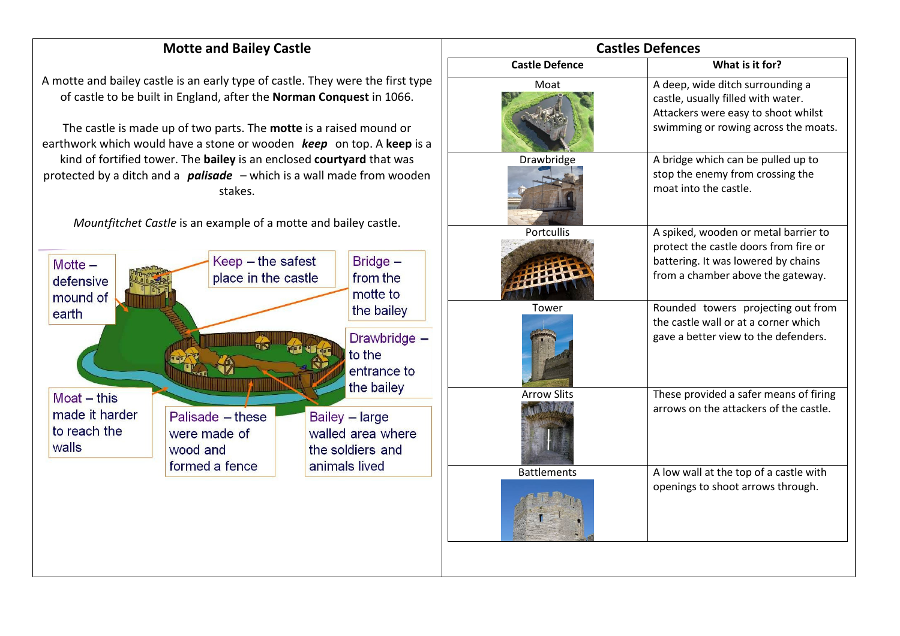## Motte and Bailey Castle

A motte and bailey castle is an early type of castle. They were the first type of castle to be built in England, after the Norman Conquest in 1066.

The castle is made up of two parts. The **motte** is a raised mound or earthwork which would have a stone or wooden  $\;keep\;$  on top. A keep is a kind of fortified tower. The **bailey** is an enclosed courtyard that was protected by a ditch and a  $\,$   $p$ alisade  $\,$  – which is a wall made from wooden  $\,$ stakes.

Mountfitchet Castle is an example of a motte and bailey castle.



| <b>Castles Defences</b> |                                                                                                                                                           |  |  |  |  |  |
|-------------------------|-----------------------------------------------------------------------------------------------------------------------------------------------------------|--|--|--|--|--|
| <b>Castle Defence</b>   | What is it for?                                                                                                                                           |  |  |  |  |  |
| Moat                    | A deep, wide ditch surrounding a<br>castle, usually filled with water.<br>Attackers were easy to shoot whilst<br>swimming or rowing across the moats.     |  |  |  |  |  |
| Drawbridge              | A bridge which can be pulled up to<br>stop the enemy from crossing the<br>moat into the castle.                                                           |  |  |  |  |  |
| Portcullis              | A spiked, wooden or metal barrier to<br>protect the castle doors from fire or<br>battering. It was lowered by chains<br>from a chamber above the gateway. |  |  |  |  |  |
| Tower                   | Rounded towers projecting out from<br>the castle wall or at a corner which<br>gave a better view to the defenders.                                        |  |  |  |  |  |
| <b>Arrow Slits</b>      | These provided a safer means of firing<br>arrows on the attackers of the castle.                                                                          |  |  |  |  |  |
| <b>Battlements</b>      | A low wall at the top of a castle with<br>openings to shoot arrows through.                                                                               |  |  |  |  |  |
|                         |                                                                                                                                                           |  |  |  |  |  |